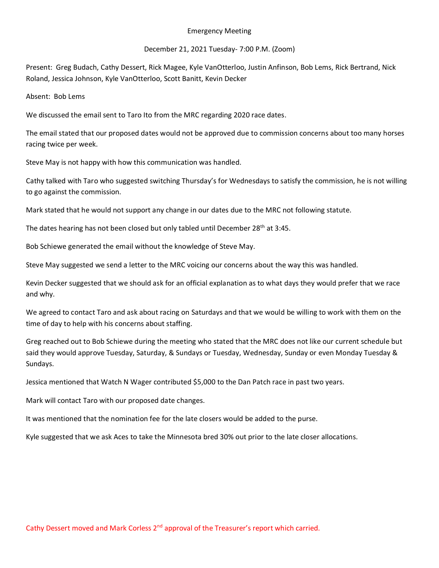## Emergency Meeting

## December 21, 2021 Tuesday- 7:00 P.M. (Zoom)

Present: Greg Budach, Cathy Dessert, Rick Magee, Kyle VanOtterloo, Justin Anfinson, Bob Lems, Rick Bertrand, Nick Roland, Jessica Johnson, Kyle VanOtterloo, Scott Banitt, Kevin Decker

Absent: Bob Lems

We discussed the email sent to Taro Ito from the MRC regarding 2020 race dates.

The email stated that our proposed dates would not be approved due to commission concerns about too many horses racing twice per week.

Steve May is not happy with how this communication was handled.

Cathy talked with Taro who suggested switching Thursday's for Wednesdays to satisfy the commission, he is not willing to go against the commission.

Mark stated that he would not support any change in our dates due to the MRC not following statute.

The dates hearing has not been closed but only tabled until December 28<sup>th</sup> at 3:45.

Bob Schiewe generated the email without the knowledge of Steve May.

Steve May suggested we send a letter to the MRC voicing our concerns about the way this was handled.

Kevin Decker suggested that we should ask for an official explanation as to what days they would prefer that we race and why.

We agreed to contact Taro and ask about racing on Saturdays and that we would be willing to work with them on the time of day to help with his concerns about staffing.

Greg reached out to Bob Schiewe during the meeting who stated that the MRC does not like our current schedule but said they would approve Tuesday, Saturday, & Sundays or Tuesday, Wednesday, Sunday or even Monday Tuesday & Sundays.

Jessica mentioned that Watch N Wager contributed \$5,000 to the Dan Patch race in past two years.

Mark will contact Taro with our proposed date changes.

It was mentioned that the nomination fee for the late closers would be added to the purse.

Kyle suggested that we ask Aces to take the Minnesota bred 30% out prior to the late closer allocations.